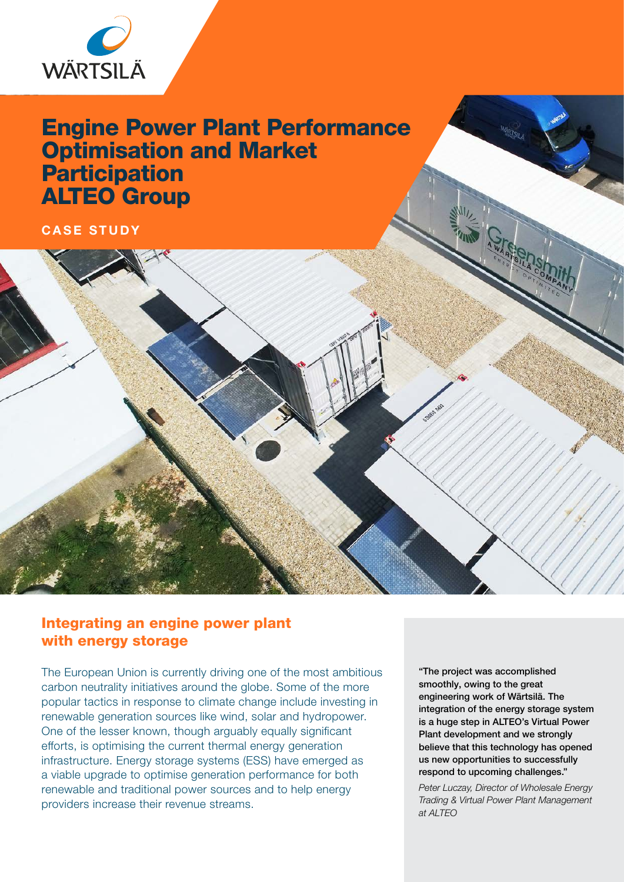

# Engine Power Plant Performance Optimisation and Market **Participation** ALTEO Group

## CASE STUDY

# Integrating an engine power plant with energy storage

The European Union is currently driving one of the most ambitious carbon neutrality initiatives around the globe. Some of the more popular tactics in response to climate change include investing in renewable generation sources like wind, solar and hydropower. One of the lesser known, though arguably equally significant efforts, is optimising the current thermal energy generation infrastructure. Energy storage systems (ESS) have emerged as a viable upgrade to optimise generation performance for both renewable and traditional power sources and to help energy providers increase their revenue streams.

"The project was accomplished smoothly, owing to the great engineering work of Wärtsilä. The integration of the energy storage system is a huge step in ALTEO's Virtual Power Plant development and we strongly believe that this technology has opened us new opportunities to successfully respond to upcoming challenges."

*Peter Luczay, Director of Wholesale Energy Trading & Virtual Power Plant Management at ALTEO*